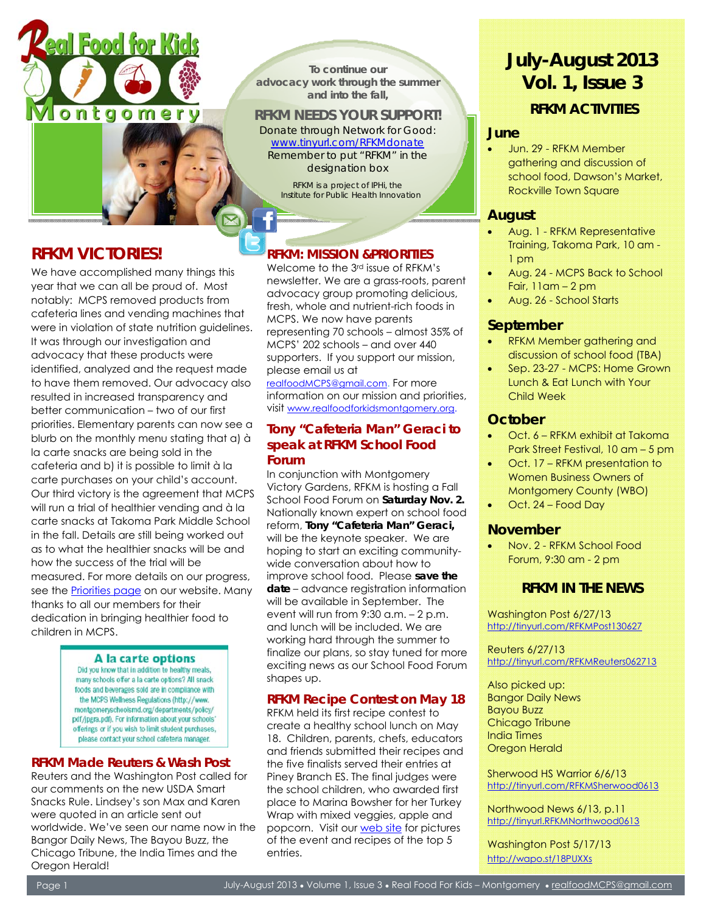

**To continue our advocacy work through the summer and into the fall,** 

### **RFKM NEEDS YOUR SUPPORT!**

*Donate through Network for Good: www.tinyurl.com/RFKMdonate Remember to put "RFKM" in the designation box* 

*RFKM is a project of IPHi, the Institute for Public Health Innovation* 

# **RFKM VICTORIES!**

3

We have accomplished many things this year that we can all be proud of. Most notably: MCPS removed products from cafeteria lines and vending machines that were in violation of state nutrition guidelines. It was through our investigation and advocacy that these products were identified, analyzed and the request made to have them removed. Our advocacy also resulted in increased transparency and better communication – two of our first priorities. Elementary parents can now see a blurb on the monthly menu stating that a) à la carte snacks are being sold in the cafeteria and b) it is possible to limit à la carte purchases on your child's account. Our third victory is the agreement that MCPS will run a trial of healthier vending and à la carte snacks at Takoma Park Middle School in the fall. Details are still being worked out as to what the healthier snacks will be and how the success of the trial will be measured. For more details on our progress, see the Priorities page on our website. Many thanks to all our members for their dedication in bringing healthier food to children in MCPS.

#### A la carte options

Did you know that in addition to healthy meals, many schools offer a la carte options? All snack foods and beverages sold are in compliance with the MCPS Wellness Regulations (http://www. montgomeryschoolsmd.org/departments/policy/ pdf/jpgra.pdf). For information about your schools' offerings or if you wish to limit student purchases. please contact your school cafeteria manager.

#### **RFKM Made Reuters & Wash Post**

Reuters and the Washington Post called for our comments on the new USDA Smart Snacks Rule. Lindsey's son Max and Karen were quoted in an article sent out worldwide. We've seen our name now in the Bangor Daily News, The Bayou Buzz, the Chicago Tribune, the India Times and the Oregon Herald!

# **RFKM: MISSION &PRIORITIES**

Welcome to the 3rd issue of RFKM's newsletter. We are a grass-roots, parent advocacy group promoting delicious, fresh, whole and nutrient-rich foods in MCPS. We now have parents representing 70 schools – almost 35% of MCPS' 202 schools – and over 440 supporters. If you support our mission, please email us at

realfoodMCPS@gmail.com. For more information on our mission and priorities, visit www.realfoodforkidsmontgomery.org.

#### **Tony "Cafeteria Man" Geraci to speak at RFKM School Food Forum**

In conjunction with Montgomery Victory Gardens, RFKM is hosting a Fall School Food Forum on **Saturday Nov. 2.** Nationally known expert on school food reform, **Tony "Cafeteria Man" Geraci,** will be the keynote speaker. We are hoping to start an exciting communitywide conversation about how to improve school food. Please **save the date** – advance registration information will be available in September. The event will run from 9:30 a.m. – 2 p.m. and lunch will be included. We are working hard through the summer to finalize our plans, so stay tuned for more exciting news as our School Food Forum shapes up.

### **RFKM Recipe Contest on May 18**

RFKM held its first recipe contest to create a healthy school lunch on May 18. Children, parents, chefs, educators and friends submitted their recipes and the five finalists served their entries at Piney Branch ES. The final judges were the school children, who awarded first place to Marina Bowsher for her Turkey Wrap with mixed veggies, apple and popcorn. Visit our web site for pictures of the event and recipes of the top 5 entries.

# **July-August 2013 Vol. 1, Issue 3**   *RFKM ACTIVITIES*

#### **June**

• Jun. 29 - RFKM Member gathering and discussion of school food, Dawson's Market, Rockville Town Square

### **August**

- Aug. 1 RFKM Representative Training, Takoma Park, 10 am - 1 pm
- Aug. 24 MCPS Back to School Fair, 11am – 2 pm
- Aug. 26 School Starts

#### **September**

- RFKM Member gathering and discussion of school food (TBA)
- Sep. 23-27 MCPS: Home Grown Lunch & Eat Lunch with Your Child Week

#### **October**

- Oct. 6 RFKM exhibit at Takoma Park Street Festival, 10 am – 5 pm
- Oct. 17 RFKM presentation to Women Business Owners of Montgomery County (WBO)
- Oct. 24 Food Day

### **November**

• Nov. 2 - RFKM School Food Forum, 9:30 am - 2 pm

# *RFKM IN THE NEWS*

Washington Post 6/27/13 http://tinyurl.com/RFKMPost130627

Reuters 6/27/13 http://tinyurl.com/RFKMReuters062713

Also picked up: Bangor Daily News Bayou Buzz Chicago Tribune India Times Oregon Herald

Sherwood HS Warrior 6/6/13 http://tinyurl.com/RFKMSherwood0613

Northwood News 6/13, p.11 http://tinyurl.RFKMNorthwood0613

Washington Post 5/17/13 http://wapo.st/18PUXXs